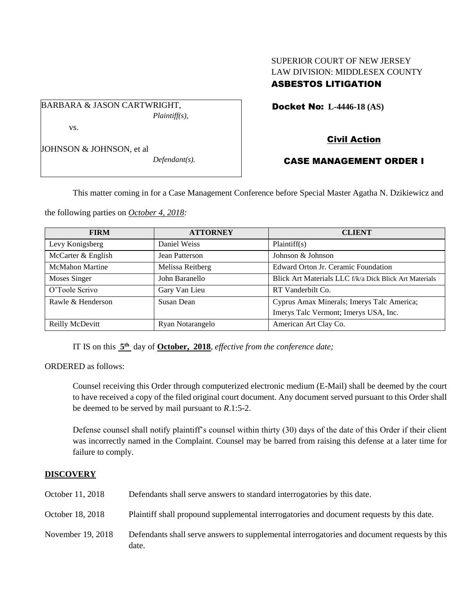## SUPERIOR COURT OF NEW JERSEY LAW DIVISION: MIDDLESEX COUNTY ASBESTOS LITIGATION

Docket No: **L-4446-18 (AS)** 

BARBARA & JASON CARTWRIGHT, *Plaintiff(s),* vs.

JOHNSON & JOHNSON, et al

*Defendant(s).*

# Civil Action

## CASE MANAGEMENT ORDER I

This matter coming in for a Case Management Conference before Special Master Agatha N. Dzikiewicz and

the following parties on *October 4, 2018:*

| <b>FIRM</b>            | <b>ATTORNEY</b>  | <b>CLIENT</b>                                          |
|------------------------|------------------|--------------------------------------------------------|
| Levy Konigsberg        | Daniel Weiss     | Plaintiff(s)                                           |
| McCarter & English     | Jean Patterson   | Johnson & Johnson                                      |
| <b>McMahon Martine</b> | Melissa Reitberg | Edward Orton Jr. Ceramic Foundation                    |
| Moses Singer           | John Baranello   | Blick Art Materials LLC f/k/a Dick Blick Art Materials |
| O'Toole Scrivo         | Gary Van Lieu    | RT Vanderbilt Co.                                      |
| Rawle & Henderson      | Susan Dean       | Cyprus Amax Minerals; Imerys Talc America;             |
|                        |                  | Imerys Talc Vermont; Imerys USA, Inc.                  |
| Reilly McDevitt        | Ryan Notarangelo | American Art Clay Co.                                  |

IT IS on this  $5<sup>th</sup>$  day of **October, 2018**, *effective from the conference date*;

ORDERED as follows:

Counsel receiving this Order through computerized electronic medium (E-Mail) shall be deemed by the court to have received a copy of the filed original court document. Any document served pursuant to this Order shall be deemed to be served by mail pursuant to *R*.1:5-2.

Defense counsel shall notify plaintiff's counsel within thirty (30) days of the date of this Order if their client was incorrectly named in the Complaint. Counsel may be barred from raising this defense at a later time for failure to comply.

## **DISCOVERY**

| October 11, 2018  | Defendants shall serve answers to standard interrogatories by this date.                              |
|-------------------|-------------------------------------------------------------------------------------------------------|
| October 18, 2018  | Plaintiff shall propound supplemental interrogatories and document requests by this date.             |
| November 19, 2018 | Defendants shall serve answers to supplemental interrogatories and document requests by this<br>date. |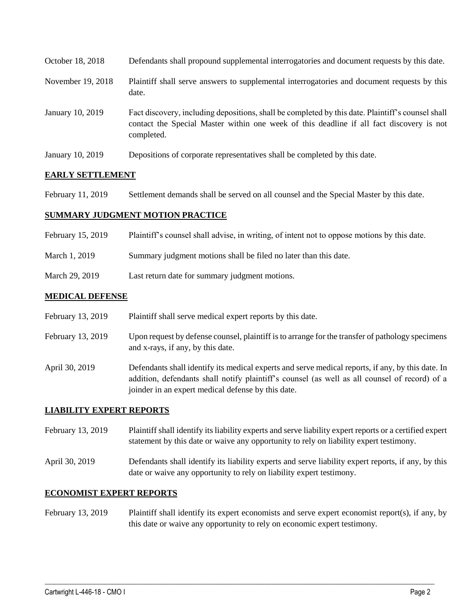| October 18, 2018  | Defendants shall propound supplemental interrogatories and document requests by this date.                                                                                                                  |
|-------------------|-------------------------------------------------------------------------------------------------------------------------------------------------------------------------------------------------------------|
| November 19, 2018 | Plaintiff shall serve answers to supplemental interrogatories and document requests by this<br>date.                                                                                                        |
| January 10, 2019  | Fact discovery, including depositions, shall be completed by this date. Plaintiff's counsel shall<br>contact the Special Master within one week of this deadline if all fact discovery is not<br>completed. |
| January 10, 2019  | Depositions of corporate representatives shall be completed by this date.                                                                                                                                   |

## **EARLY SETTLEMENT**

February 11, 2019 Settlement demands shall be served on all counsel and the Special Master by this date.

#### **SUMMARY JUDGMENT MOTION PRACTICE**

- February 15, 2019 Plaintiff's counsel shall advise, in writing, of intent not to oppose motions by this date.
- March 1, 2019 Summary judgment motions shall be filed no later than this date.
- March 29, 2019 Last return date for summary judgment motions.

#### **MEDICAL DEFENSE**

- February 13, 2019 Plaintiff shall serve medical expert reports by this date.
- February 13, 2019 Upon request by defense counsel, plaintiff is to arrange for the transfer of pathology specimens and x-rays, if any, by this date.
- April 30, 2019 Defendants shall identify its medical experts and serve medical reports, if any, by this date. In addition, defendants shall notify plaintiff's counsel (as well as all counsel of record) of a joinder in an expert medical defense by this date.

## **LIABILITY EXPERT REPORTS**

- February 13, 2019 Plaintiff shall identify its liability experts and serve liability expert reports or a certified expert statement by this date or waive any opportunity to rely on liability expert testimony.
- April 30, 2019 Defendants shall identify its liability experts and serve liability expert reports, if any, by this date or waive any opportunity to rely on liability expert testimony.

#### **ECONOMIST EXPERT REPORTS**

February 13, 2019 Plaintiff shall identify its expert economists and serve expert economist report(s), if any, by this date or waive any opportunity to rely on economic expert testimony.

 $\_$  ,  $\_$  ,  $\_$  ,  $\_$  ,  $\_$  ,  $\_$  ,  $\_$  ,  $\_$  ,  $\_$  ,  $\_$  ,  $\_$  ,  $\_$  ,  $\_$  ,  $\_$  ,  $\_$  ,  $\_$  ,  $\_$  ,  $\_$  ,  $\_$  ,  $\_$  ,  $\_$  ,  $\_$  ,  $\_$  ,  $\_$  ,  $\_$  ,  $\_$  ,  $\_$  ,  $\_$  ,  $\_$  ,  $\_$  ,  $\_$  ,  $\_$  ,  $\_$  ,  $\_$  ,  $\_$  ,  $\_$  ,  $\_$  ,